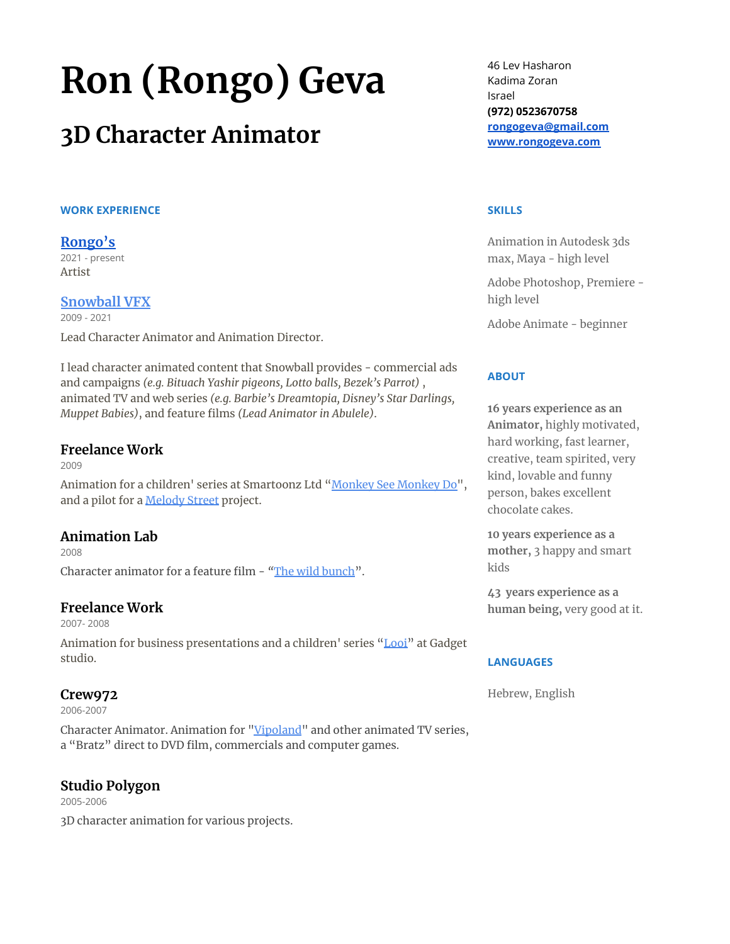# **Ron (Rongo) Geva**

# **3D Character Animator**

#### **WORK EXPERIENCE**

# **[Rongo's](https://www.rongogeva.com/)**

2021 - present Artist

## **[Snowball](http://www.snowballvfx.com/) VFX**

2009 - 2021

Lead Character Animator and Animation Director.

I lead character animated content that Snowball provides - commercial ads and campaigns *(e.g. Bituach Yashir pigeons, Lotto balls, Bezek's Parrot)* , animated TV and web series *(e.g. Barbie's Dreamtopia, Disney's Star Darlings, Muppet Babies)*, and feature films *(Lead Animator in Abulele)*.

#### **Freelance Work**

2009 Animation for a children' series at Smartoonz Ltd ["Monkey](https://www.youtube.com/playlist?list=PLAD950834ACE4F14E) See Monkey Do", and a pilot for a [Melody](https://www.youtube.com/channel/UCQrBKJXn_Gkr4WdFlIIvZtg) Street project.

# **Animation Lab**

2008 Character animator for a feature film - *"*The wild [bunch".](https://www.youtube.com/watch?v=5EAE62OS908)

# **Freelance Work**

2007- 2008

Animation for business presentations and a children' series ["Looi"](https://www.looi.tv/) at Gadget studio.

# **Crew972**

2006-2007

Character Animator. Animation for ["Vipoland"](https://www.youtube.com/user/vipolandMUC) and other animated TV series, a "Bratz" direct to DVD film, commercials and computer games.

# **Studio Polygon**

2005-2006 3D character animation for various projects. 46 Lev Hasharon Kadima Zoran Israel **(972) 0523670758 [rongogeva@gmail.com](mailto:rongogeva@gmail.com) [www.rongogeva.com](http://www.rongogeva.com)**

#### **SKILLS**

Animation in Autodesk 3ds max, Maya - high level

Adobe Photoshop, Premiere high level

Adobe Animate - beginner

## **ABOUT**

**16 years experience as an Animator,** highly motivated, hard working, fast learner, creative, team spirited, very kind, lovable and funny person, bakes excellent chocolate cakes.

**10 years experience as a mother,** 3 happy and smart kids

**43 years experience as a human being,** very good at it.

#### **LANGUAGES**

Hebrew, English